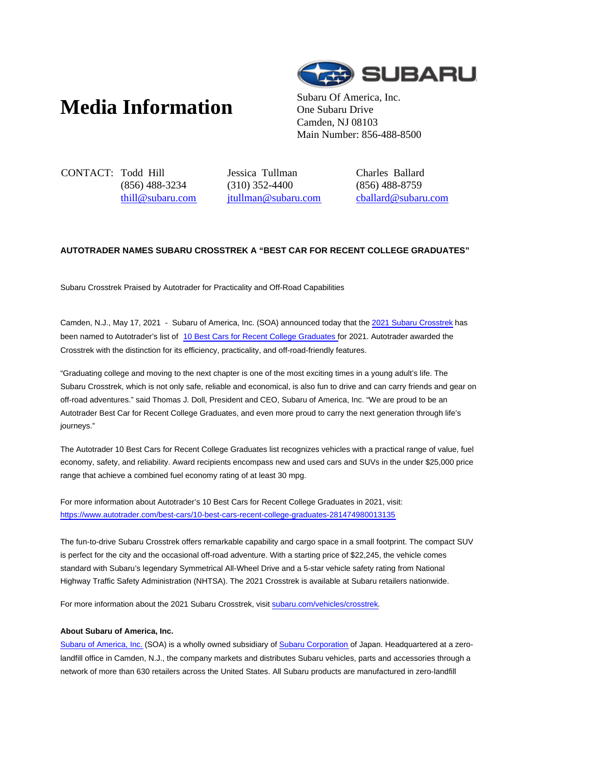## **Media Information** Subaru Of America, Inc.



One Subaru Drive Camden, NJ 08103 Main Number: 856-488-8500

CONTACT: Todd Hill (856) 488-3234 thill@subaru.com Jessica Tullman (310) 352-4400 jtullman@subaru.com Charles Ballard (856) 488-8759 cballard@subaru.com

## **AUTOTRADER NAMES SUBARU CROSSTREK A "BEST CAR FOR RECENT COLLEGE GRADUATES"**

Subaru Crosstrek Praised by Autotrader for Practicality and Off-Road Capabilities

Camden, N.J., May 17, 2021 - Subaru of America, Inc. (SOA) announced today that the 2021 Subaru Crosstrek has been named to Autotrader's list of 10 Best Cars for Recent College Graduates for 2021. Autotrader awarded the Crosstrek with the distinction for its efficiency, practicality, and off-road-friendly features.

"Graduating college and moving to the next chapter is one of the most exciting times in a young adult's life. The Subaru Crosstrek, which is not only safe, reliable and economical, is also fun to drive and can carry friends and gear on off-road adventures." said Thomas J. Doll, President and CEO, Subaru of America, Inc. "We are proud to be an Autotrader Best Car for Recent College Graduates, and even more proud to carry the next generation through life's journeys."

The Autotrader 10 Best Cars for Recent College Graduates list recognizes vehicles with a practical range of value, fuel economy, safety, and reliability. Award recipients encompass new and used cars and SUVs in the under \$25,000 price range that achieve a combined fuel economy rating of at least 30 mpg.

For more information about Autotrader's 10 Best Cars for Recent College Graduates in 2021, visit: https://www.autotrader.com/best-cars/10-best-cars-recent-college-graduates-281474980013135

The fun-to-drive Subaru Crosstrek offers remarkable capability and cargo space in a small footprint. The compact SUV is perfect for the city and the occasional off-road adventure. With a starting price of \$22,245, the vehicle comes standard with Subaru's legendary Symmetrical All-Wheel Drive and a 5-star vehicle safety rating from National Highway Traffic Safety Administration (NHTSA). The 2021 Crosstrek is available at Subaru retailers nationwide.

For more information about the 2021 Subaru Crosstrek, visit subaru.com/vehicles/crosstrek.

## **About Subaru of America, Inc.**

Subaru of America, Inc. (SOA) is a wholly owned subsidiary of Subaru Corporation of Japan. Headquartered at a zerolandfill office in Camden, N.J., the company markets and distributes Subaru vehicles, parts and accessories through a network of more than 630 retailers across the United States. All Subaru products are manufactured in zero-landfill